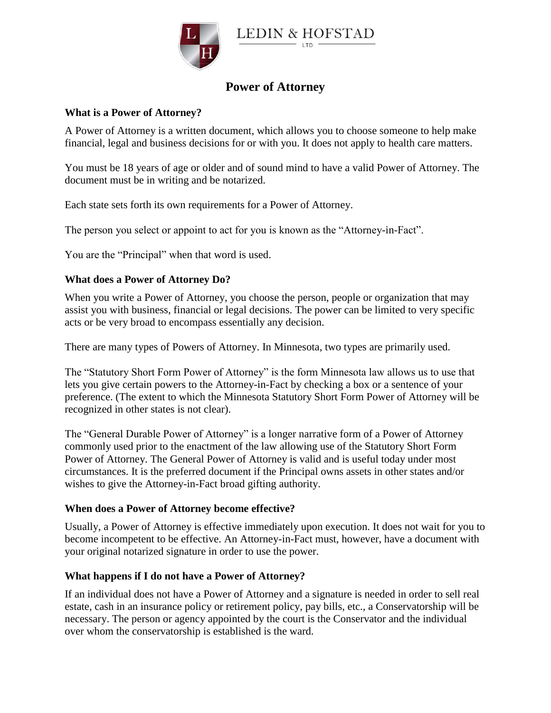

# **Power of Attorney**

# **What is a Power of Attorney?**

A Power of Attorney is a written document, which allows you to choose someone to help make financial, legal and business decisions for or with you. It does not apply to health care matters.

You must be 18 years of age or older and of sound mind to have a valid Power of Attorney. The document must be in writing and be notarized.

Each state sets forth its own requirements for a Power of Attorney.

The person you select or appoint to act for you is known as the "Attorney-in-Fact".

You are the "Principal" when that word is used.

## **What does a Power of Attorney Do?**

When you write a Power of Attorney, you choose the person, people or organization that may assist you with business, financial or legal decisions. The power can be limited to very specific acts or be very broad to encompass essentially any decision.

There are many types of Powers of Attorney. In Minnesota, two types are primarily used.

The "Statutory Short Form Power of Attorney" is the form Minnesota law allows us to use that lets you give certain powers to the Attorney-in-Fact by checking a box or a sentence of your preference. (The extent to which the Minnesota Statutory Short Form Power of Attorney will be recognized in other states is not clear).

The "General Durable Power of Attorney" is a longer narrative form of a Power of Attorney commonly used prior to the enactment of the law allowing use of the Statutory Short Form Power of Attorney. The General Power of Attorney is valid and is useful today under most circumstances. It is the preferred document if the Principal owns assets in other states and/or wishes to give the Attorney-in-Fact broad gifting authority.

#### **When does a Power of Attorney become effective?**

Usually, a Power of Attorney is effective immediately upon execution. It does not wait for you to become incompetent to be effective. An Attorney-in-Fact must, however, have a document with your original notarized signature in order to use the power.

#### **What happens if I do not have a Power of Attorney?**

If an individual does not have a Power of Attorney and a signature is needed in order to sell real estate, cash in an insurance policy or retirement policy, pay bills, etc., a Conservatorship will be necessary. The person or agency appointed by the court is the Conservator and the individual over whom the conservatorship is established is the ward.